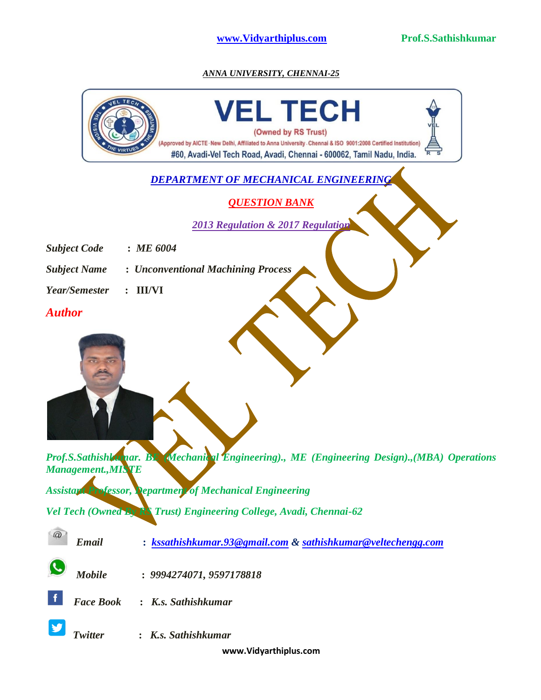

*ANNA UNIVERSITY, CHENNAI-25*

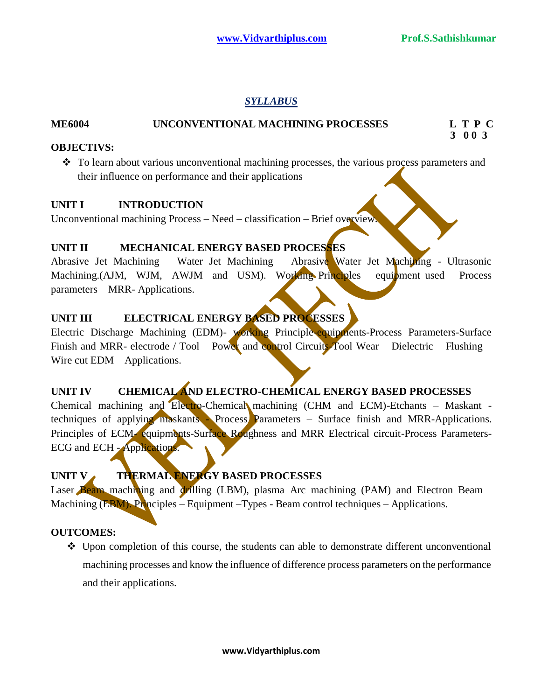# *SYLLABUS*

## **ME6004 UNCONVENTIONAL MACHINING PROCESSES L T P C**

 **3 0 0 3**

### **OBJECTIVS:**

 $\bullet$  To learn about various unconventional machining processes, the various process parameters and their influence on performance and their applications

### **UNIT I INTRODUCTION**

Unconventional machining Process – Need – classification – Brief overview.

# **UNIT II MECHANICAL ENERGY BASED PROCESSES**

Abrasive Jet Machining – Water Jet Machining – Abrasive Water Jet Machining - Ultrasonic Machining.(AJM, WJM, AWJM and USM). Working Principles – equipment used – Process parameters – MRR- Applications.

# **UNIT III ELECTRICAL ENERGY BASED PROCESSES**

Electric Discharge Machining (EDM)- working Principle-equipments-Process Parameters-Surface Finish and MRR- electrode / Tool – Power and control Circuits-Tool Wear – Dielectric – Flushing – Wire cut EDM – Applications.

# **UNIT IV CHEMICAL AND ELECTRO-CHEMICAL ENERGY BASED PROCESSES**

Chemical machining and Electro-Chemical machining (CHM and ECM)-Etchants - Maskant techniques of applying maskants - Process Parameters – Surface finish and MRR-Applications. Principles of ECM- equipments-Surface Roughness and MRR Electrical circuit-Process Parameters-ECG and ECH - Applications.

# UNIT V THERMAL ENERGY BASED PROCESSES

Laser Beam machining and drilling (LBM), plasma Arc machining (PAM) and Electron Beam Machining (EBM). Principles – Equipment –Types - Beam control techniques – Applications.

### **OUTCOMES:**

 $\triangleleft$  Upon completion of this course, the students can able to demonstrate different unconventional machining processes and know the influence of difference process parameters on the performance and their applications.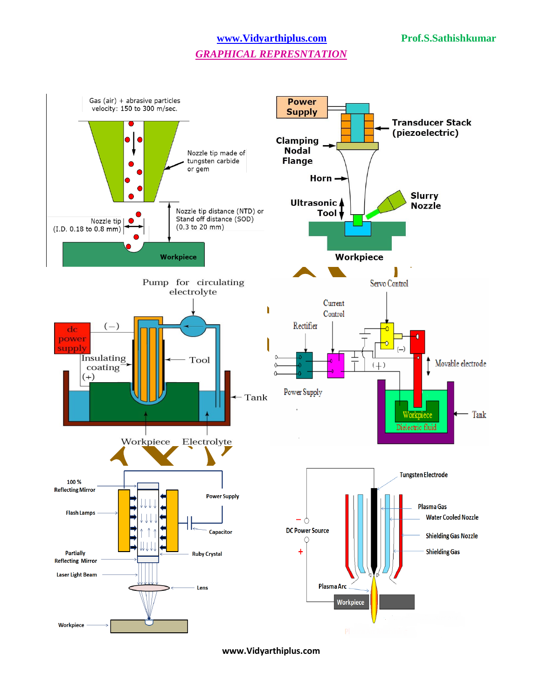### **[www.Vidyarthiplus.com](http://www.vidyarthiplus.com/) Prof.S.Sathishkumar**

# *GRAPHICAL REPRESNTATION*



**www.Vidyarthiplus.com**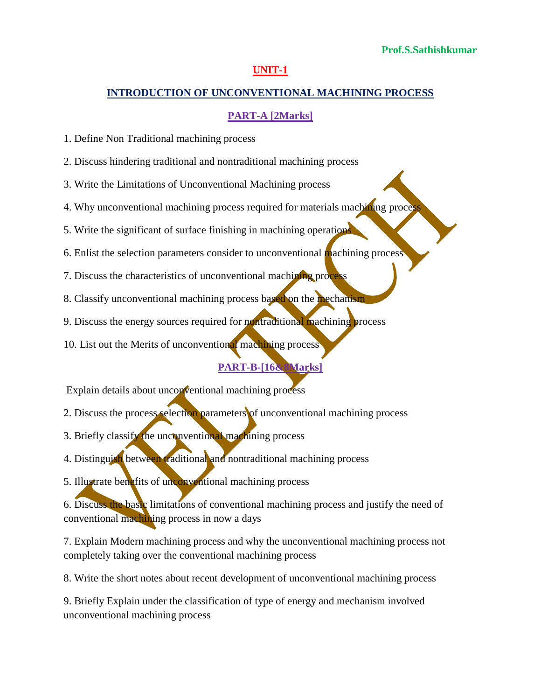#### **UNIT-1**

#### **INTRODUCTION OF UNCONVENTIONAL MACHINING PROCESS**

### **PART-A [2Marks]**

1. Define Non Traditional machining process

2. Discuss hindering traditional and nontraditional machining process

3. Write the Limitations of Unconventional Machining process

4. Why unconventional machining process required for materials machining process

5. Write the significant of surface finishing in machining operations

6. Enlist the selection parameters consider to unconventional machining process

7. Discuss the characteristics of unconventional machining process

- 8. Classify unconventional machining process based on the mechanism
- 9. Discuss the energy sources required for nontraditional machining process

10. List out the Merits of unconventional machining process

#### **PART-B-[16&8Marks]**

Explain details about unconventional machining process

2. Discuss the process selection parameters of unconventional machining process

3. Briefly classify the unconventional machining process

4. Distinguish between traditional and nontraditional machining process

5. Illustrate benefits of unconventional machining process

6. Discuss the basic limitations of conventional machining process and justify the need of conventional machining process in now a days

7. Explain Modern machining process and why the unconventional machining process not completely taking over the conventional machining process

8. Write the short notes about recent development of unconventional machining process

9. Briefly Explain under the classification of type of energy and mechanism involved unconventional machining process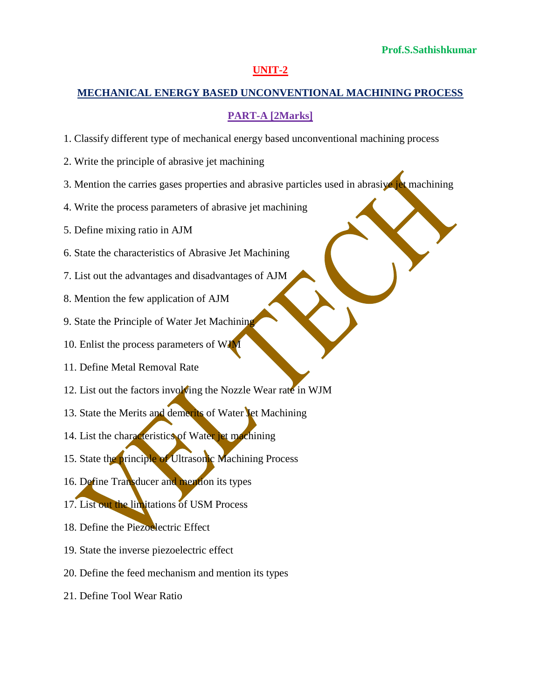#### **UNIT-2**

### **MECHANICAL ENERGY BASED UNCONVENTIONAL MACHINING PROCESS**

### **PART-A [2Marks]**

- 1. Classify different type of mechanical energy based unconventional machining process
- 2. Write the principle of abrasive jet machining
- 3. Mention the carries gases properties and abrasive particles used in abrasive jet machining
- 4. Write the process parameters of abrasive jet machining
- 5. Define mixing ratio in AJM
- 6. State the characteristics of Abrasive Jet Machining
- 7. List out the advantages and disadvantages of AJM
- 8. Mention the few application of AJM
- 9. State the Principle of Water Jet Machining
- 10. Enlist the process parameters of WJM
- 11. Define Metal Removal Rate
- 12. List out the factors involving the Nozzle Wear rate in WJM
- 13. State the Merits and demerits of Water Jet Machining
- 14. List the characteristics of Water jet machining
- 15. State the principle of Ultrasonic Machining Process
- 16. Define Transducer and mention its types
- 17. List out the limitations of USM Process
- 18. Define the Piezoelectric Effect
- 19. State the inverse piezoelectric effect
- 20. Define the feed mechanism and mention its types
- 21. Define Tool Wear Ratio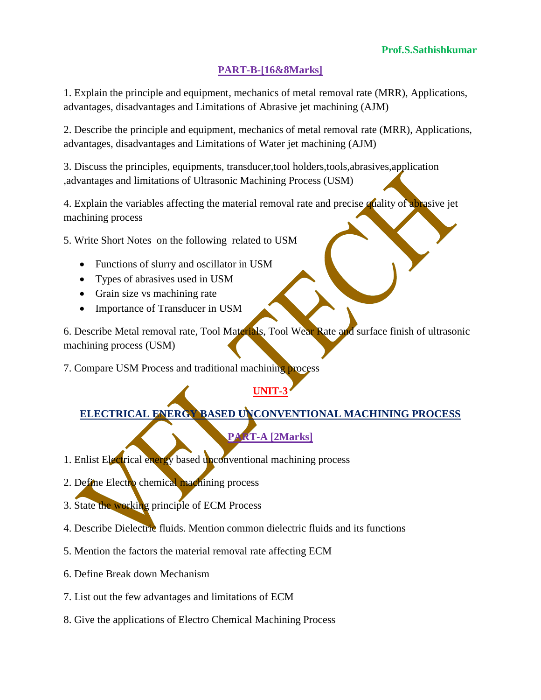1. Explain the principle and equipment, mechanics of metal removal rate (MRR), Applications, advantages, disadvantages and Limitations of Abrasive jet machining (AJM)

2. Describe the principle and equipment, mechanics of metal removal rate (MRR), Applications, advantages, disadvantages and Limitations of Water jet machining (AJM)

3. Discuss the principles, equipments, transducer,tool holders,tools,abrasives,application ,advantages and limitations of Ultrasonic Machining Process (USM)

4. Explain the variables affecting the material removal rate and precise quality of abrasive jet machining process

5. Write Short Notes on the following related to USM

- Functions of slurry and oscillator in USM
- Types of abrasives used in USM
- Grain size vs machining rate
- Importance of Transducer in USM

6. Describe Metal removal rate, Tool Materials, Tool Wear Rate and surface finish of ultrasonic machining process (USM)

7. Compare USM Process and traditional machining process

# **UNIT-3**

**ELECTRICAL ENERGY BASED UNCONVENTIONAL MACHINING PROCESS**

**PART-A [2Marks]**

- 1. Enlist Electrical energy based unconventional machining process
- 2. Define Electro chemical machining process
- 3. State the working principle of ECM Process
- 4. Describe Dielectric fluids. Mention common dielectric fluids and its functions
- 5. Mention the factors the material removal rate affecting ECM
- 6. Define Break down Mechanism
- 7. List out the few advantages and limitations of ECM
- 8. Give the applications of Electro Chemical Machining Process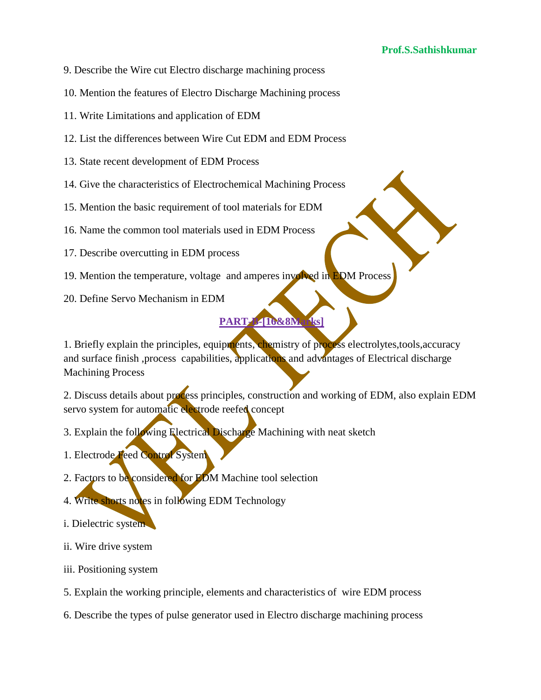- 9. Describe the Wire cut Electro discharge machining process
- 10. Mention the features of Electro Discharge Machining process
- 11. Write Limitations and application of EDM
- 12. List the differences between Wire Cut EDM and EDM Process
- 13. State recent development of EDM Process
- 14. Give the characteristics of Electrochemical Machining Process
- 15. Mention the basic requirement of tool materials for EDM
- 16. Name the common tool materials used in EDM Process
- 17. Describe overcutting in EDM process
- 19. Mention the temperature, voltage and amperes involved in EDM Process
- 20. Define Servo Mechanism in EDM

1. Briefly explain the principles, equipments, chemistry of process electrolytes, tools, accuracy and surface finish ,process capabilities, applications and advantages of Electrical discharge Machining Process

2. Discuss details about process principles, construction and working of EDM, also explain EDM servo system for automatic electrode reefed concept

- 3. Explain the following Electrical Discharge Machining with neat sketch
- 1. Electrode Feed Control System
- 2. Factors to be considered for EDM Machine tool selection
- 4. Write shorts notes in following EDM Technology
- i. Dielectric system
- ii. Wire drive system
- iii. Positioning system
- 5. Explain the working principle, elements and characteristics of wire EDM process
- 6. Describe the types of pulse generator used in Electro discharge machining process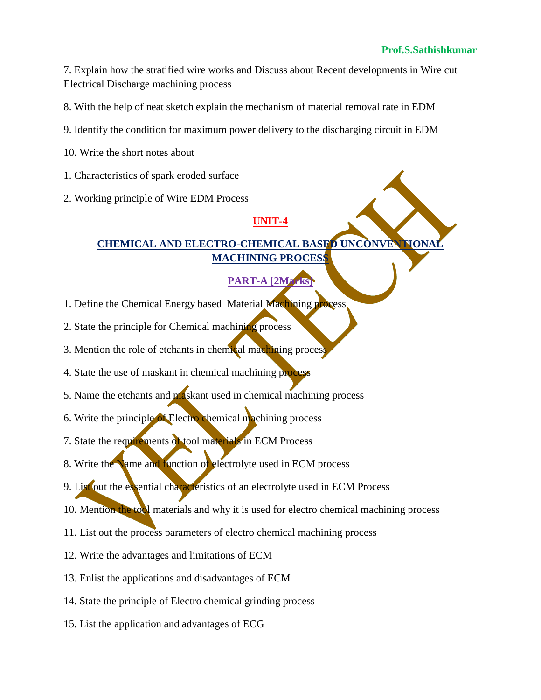7. Explain how the stratified wire works and Discuss about Recent developments in Wire cut Electrical Discharge machining process

8. With the help of neat sketch explain the mechanism of material removal rate in EDM

- 9. Identify the condition for maximum power delivery to the discharging circuit in EDM
- 10. Write the short notes about
- 1. Characteristics of spark eroded surface
- 2. Working principle of Wire EDM Process

# **UNIT-4**

# **CHEMICAL AND ELECTRO-CHEMICAL BASED UNCONVENT MACHINING PROCESS**

# **PART-A [2Marks]**

- 1. Define the Chemical Energy based Material Machining process
- 2. State the principle for Chemical machining process
- 3. Mention the role of etchants in chemical machining process
- 4. State the use of maskant in chemical machining process
- 5. Name the etchants and **ma**skant used in chemical machining process
- 6. Write the principle of Electro chemical machining process
- 7. State the requirements of tool materials in ECM Process
- 8. Write the Name and function of electrolyte used in ECM process
- 9. List out the essential characteristics of an electrolyte used in ECM Process
- 10. Mention the tool materials and why it is used for electro chemical machining process
- 11. List out the process parameters of electro chemical machining process
- 12. Write the advantages and limitations of ECM
- 13. Enlist the applications and disadvantages of ECM
- 14. State the principle of Electro chemical grinding process
- 15. List the application and advantages of ECG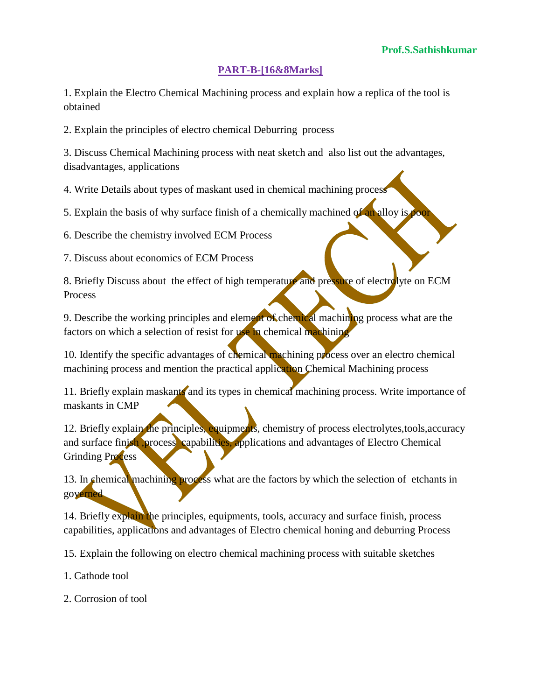1. Explain the Electro Chemical Machining process and explain how a replica of the tool is obtained

2. Explain the principles of electro chemical Deburring process

3. Discuss Chemical Machining process with neat sketch and also list out the advantages, disadvantages, applications

4. Write Details about types of maskant used in chemical machining process

5. Explain the basis of why surface finish of a chemically machined of an alloy is poor

6. Describe the chemistry involved ECM Process

7. Discuss about economics of ECM Process

8. Briefly Discuss about the effect of high temperature and pressure of electrolyte on ECM Process

9. Describe the working principles and element of chemical machining process what are the factors on which a selection of resist for use in chemical machining

10. Identify the specific advantages of chemical machining process over an electro chemical machining process and mention the practical application Chemical Machining process

11. Briefly explain maskants and its types in chemical machining process. Write importance of maskants in CMP

12. Briefly explain the principles, equipments, chemistry of process electrolytes,tools,accuracy and surface finish ,process capabilities, applications and advantages of Electro Chemical Grinding Process

13. In chemical machining process what are the factors by which the selection of etchants in governed

14. Briefly explain the principles, equipments, tools, accuracy and surface finish, process capabilities, applications and advantages of Electro chemical honing and deburring Process

15. Explain the following on electro chemical machining process with suitable sketches

1. Cathode tool

2. Corrosion of tool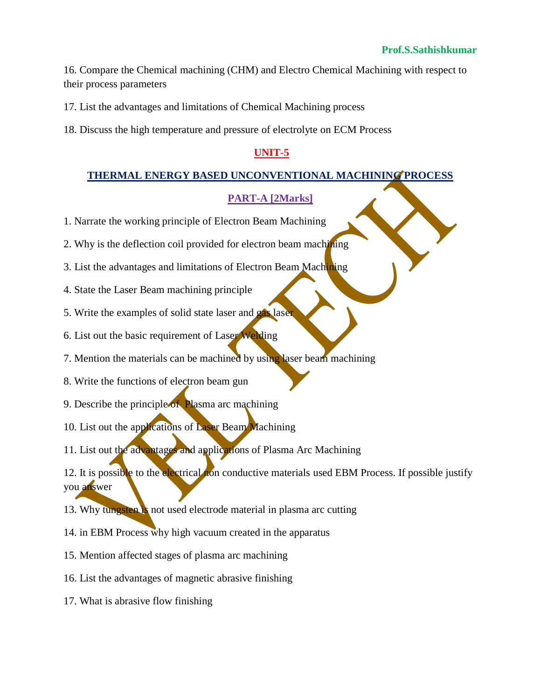16. Compare the Chemical machining (CHM) and Electro Chemical Machining with respect to their process parameters

17. List the advantages and limitations of Chemical Machining process

18. Discuss the high temperature and pressure of electrolyte on ECM Process

# **UNIT-5**

### **THERMAL ENERGY BASED UNCONVENTIONAL MACHINING PROCESS**

### **PART-A [2Marks]**

- 1. Narrate the working principle of Electron Beam Machining
- 2. Why is the deflection coil provided for electron beam machining
- 3. List the advantages and limitations of Electron Beam Machining
- 4. State the Laser Beam machining principle
- 5. Write the examples of solid state laser and gas laser
- 6. List out the basic requirement of Laser Welding
- 7. Mention the materials can be machined by using laser beam machining
- 8. Write the functions of electron beam gun
- 9. Describe the principle of Plasma arc machining
- 10. List out the applications of Laser Beam Machining
- 11. List out the advantages and applications of Plasma Arc Machining

12. It is possible to the electrical non conductive materials used EBM Process. If possible justify you answer

13. Why tungsten is not used electrode material in plasma arc cutting

- 14. in EBM Process why high vacuum created in the apparatus
- 15. Mention affected stages of plasma arc machining
- 16. List the advantages of magnetic abrasive finishing
- 17. What is abrasive flow finishing